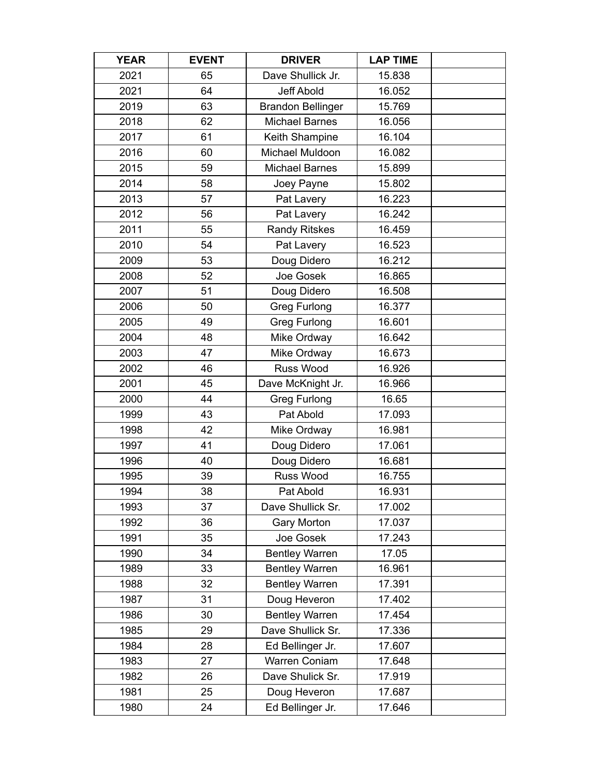| <b>YEAR</b> | <b>EVENT</b> | <b>DRIVER</b>            | <b>LAP TIME</b> |  |
|-------------|--------------|--------------------------|-----------------|--|
| 2021        | 65           | Dave Shullick Jr.        | 15.838          |  |
| 2021        | 64           | <b>Jeff Abold</b>        | 16.052          |  |
| 2019        | 63           | <b>Brandon Bellinger</b> | 15.769          |  |
| 2018        | 62           | <b>Michael Barnes</b>    | 16.056          |  |
| 2017        | 61           | Keith Shampine           | 16.104          |  |
| 2016        | 60           | Michael Muldoon          | 16.082          |  |
| 2015        | 59           | <b>Michael Barnes</b>    | 15.899          |  |
| 2014        | 58           | Joey Payne               | 15.802          |  |
| 2013        | 57           | Pat Lavery               | 16.223          |  |
| 2012        | 56           | Pat Lavery               | 16.242          |  |
| 2011        | 55           | <b>Randy Ritskes</b>     | 16.459          |  |
| 2010        | 54           | Pat Lavery               | 16.523          |  |
| 2009        | 53           | Doug Didero              | 16.212          |  |
| 2008        | 52           | Joe Gosek                | 16.865          |  |
| 2007        | 51           | Doug Didero              | 16.508          |  |
| 2006        | 50           | <b>Greg Furlong</b>      | 16.377          |  |
| 2005        | 49           | <b>Greg Furlong</b>      | 16.601          |  |
| 2004        | 48           | Mike Ordway              | 16.642          |  |
| 2003        | 47           | Mike Ordway              | 16.673          |  |
| 2002        | 46           | Russ Wood                | 16.926          |  |
| 2001        | 45           | Dave McKnight Jr.        | 16.966          |  |
| 2000        | 44           | <b>Greg Furlong</b>      | 16.65           |  |
| 1999        | 43           | Pat Abold                | 17.093          |  |
| 1998        | 42           | Mike Ordway              | 16.981          |  |
| 1997        | 41           | Doug Didero              | 17.061          |  |
| 1996        | 40           | Doug Didero              | 16.681          |  |
| 1995        | 39           | Russ Wood                | 16.755          |  |
| 1994        | 38           | Pat Abold                | 16.931          |  |
| 1993        | 37           | Dave Shullick Sr.        | 17.002          |  |
| 1992        | 36           | <b>Gary Morton</b>       | 17.037          |  |
| 1991        | 35           | Joe Gosek                | 17.243          |  |
| 1990        | 34           | <b>Bentley Warren</b>    | 17.05           |  |
| 1989        | 33           | <b>Bentley Warren</b>    | 16.961          |  |
| 1988        | 32           | <b>Bentley Warren</b>    | 17.391          |  |
| 1987        | 31           | Doug Heveron             | 17.402          |  |
| 1986        | 30           | <b>Bentley Warren</b>    | 17.454          |  |
| 1985        | 29           | Dave Shullick Sr.        | 17.336          |  |
| 1984        | 28           | Ed Bellinger Jr.         | 17.607          |  |
| 1983        | 27           | Warren Coniam            | 17.648          |  |
| 1982        | 26           | Dave Shulick Sr.         | 17.919          |  |
| 1981        | 25           | Doug Heveron             | 17.687          |  |
| 1980        | 24           | Ed Bellinger Jr.         | 17.646          |  |